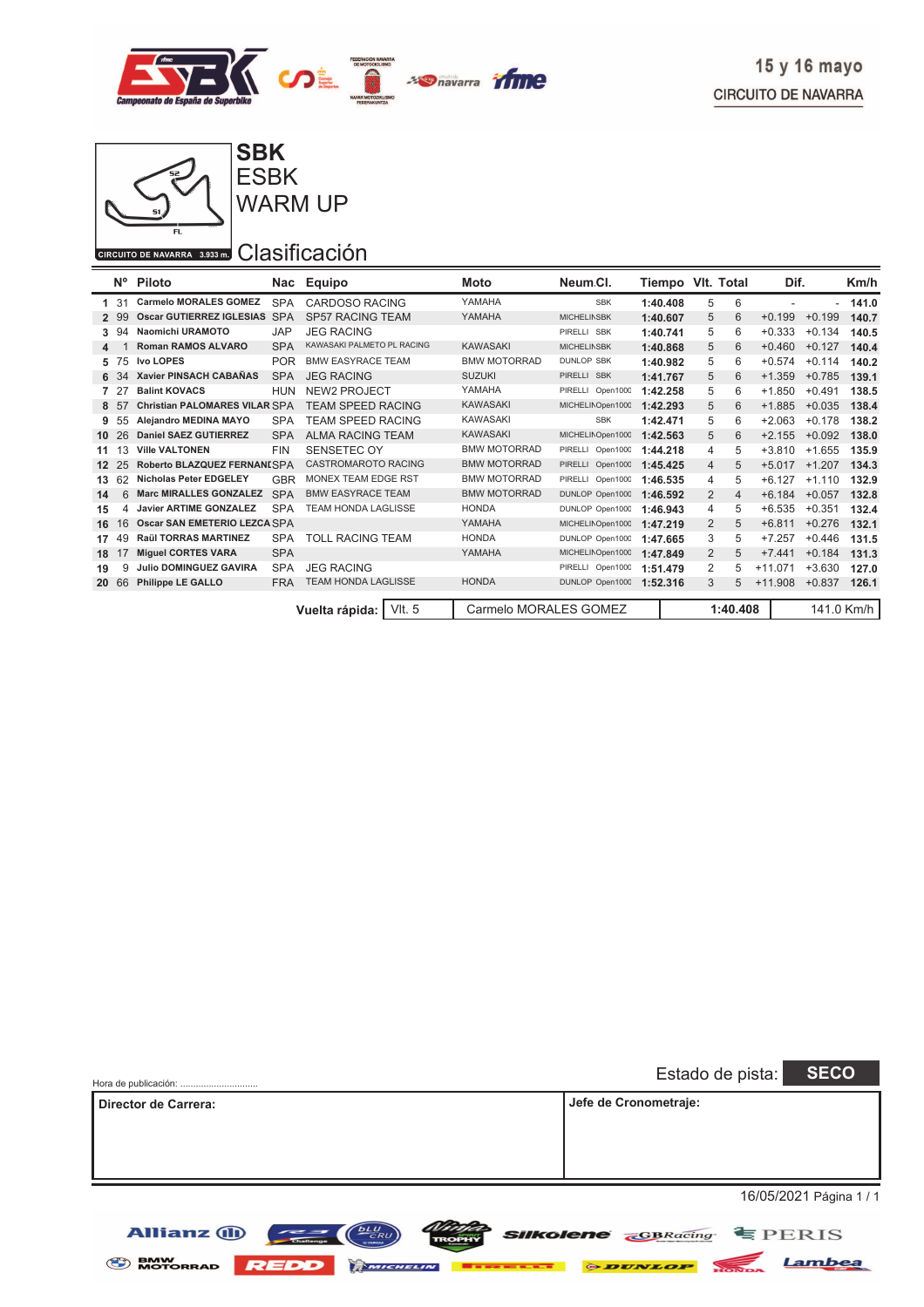



ESBK WARM UP

#### CIRCUITO DE NAVARRA 3.933 m. Clasificación

Allianz (1)

|              | $N^{\circ}$ | Piloto                          | Nac        | Equipo                     | Moto                  | Neum Cl.           |                      |   | Tiempo VIt. Total |           | Dif.         | Km/h       |
|--------------|-------------|---------------------------------|------------|----------------------------|-----------------------|--------------------|----------------------|---|-------------------|-----------|--------------|------------|
|              | -31         | <b>Carmelo MORALES GOMEZ</b>    | <b>SPA</b> | CARDOSO RACING             | YAMAHA                | <b>SBK</b>         | 1:40.408             | 5 | 6                 | ٠         | ٠            | 141.0      |
| $\mathbf{2}$ | -99         | <b>Oscar GUTIERREZ IGLESIAS</b> | <b>SPA</b> | <b>SP57 RACING TEAM</b>    | YAMAHA                | <b>MICHELINSBK</b> | 1:40.607             | 5 | 6                 | $+0.199$  | $+0.199$     | 140.7      |
| 3.           | -94         | Naomichi URAMOTO                | <b>JAP</b> | <b>JEG RACING</b>          |                       | PIRELLI SBK        | 1:40.741             | 5 | 6                 | $+0.333$  | $+0.134$     | 140.5      |
| 4            |             | <b>Roman RAMOS ALVARO</b>       | <b>SPA</b> | KAWASAKI PALMETO PL RACING | <b>KAWASAKI</b>       | <b>MICHELINSBK</b> | 1:40.868             | 5 | 6                 | $+0.460$  | $+0.127$     | 140.4      |
| 5            | 75          | <b>Ivo LOPES</b>                | <b>POR</b> | <b>BMW EASYRACE TEAM</b>   | <b>BMW MOTORRAD</b>   | <b>DUNLOP SBK</b>  | 1:40.982             | 5 | 6                 | $+0.574$  | $+0.114$     | 140.2      |
| 6            |             | <b>Xavier PINSACH CABAÑAS</b>   | <b>SPA</b> | <b>JEG RACING</b>          | <b>SUZUKI</b>         | PIRELLI SBK        | 1:41.767             | 5 | 6                 | $+1.359$  | $+0.785$     | 139.1      |
| 7            | 2           | <b>Balint KOVACS</b>            | <b>HUN</b> | <b>NEW2 PROJECT</b>        | YAMAHA                | PIRELLI Open1000   | 1:42.258             | 5 | 6                 | $+1.850$  | $+0.491$     | 138.5      |
| 8            | -57         | Christian PALOMARES VILAR SPA   |            | <b>TEAM SPEED RACING</b>   | <b>KAWASAKI</b>       | MICHELINOpen1000   | 1:42.293             | 5 | 6                 | $+1.885$  | $+0.035$     | 138.4      |
| 9            | 55          | Alejandro MEDINA MAYO           | <b>SPA</b> | TEAM SPEED RACING          | <b>KAWASAKI</b>       | <b>SBK</b>         | 1:42.471             | 5 | 6                 | $+2.063$  | $+0.178$     | 138.2      |
| 10           | 26          | <b>Daniel SAEZ GUTIERREZ</b>    | <b>SPA</b> | <b>ALMA RACING TEAM</b>    | <b>KAWASAKI</b>       | MICHELINOpen1000   | 1:42.563             | 5 | 6                 | $+2.155$  | $+0.092$     | 138.0      |
| 11           | 13          | <b>Ville VALTONEN</b>           | <b>FIN</b> | SENSETEC OY                | <b>BMW MOTORRAD</b>   | PIRELLI Open1000   | 1:44.218             | 4 | 5                 | $+3.810$  | .655<br>$+1$ | 135.9      |
| $12 \,$      |             | Roberto BLAZQUEZ FERNANISPA     |            | <b>CASTROMAROTO RACING</b> | <b>BMW MOTORRAD</b>   | PIRELLI Open1000   | 1:45.425             | 4 | 5                 | $+5.017$  | .207<br>$+1$ | 134.3      |
| 13           |             | <b>Nicholas Peter EDGELEY</b>   | <b>GBR</b> | <b>MONEX TEAM EDGE RST</b> | <b>BMW MOTORRAD</b>   | PIRELLI Open1000   | 1:46.535<br>1:46.592 | 4 | 5                 | $+6.127$  | $+1.110$     | 132.9      |
| 14           | 6           | <b>Marc MIRALLES GONZALEZ</b>   | <b>SPA</b> | <b>BMW EASYRACE TEAM</b>   | <b>BMW MOTORRAD</b>   | DUNLOP Open1000    |                      | 2 | $\overline{4}$    | $+6.184$  | $+0.057$     | 132.8      |
| 15           |             | <b>Javier ARTIME GONZALEZ</b>   | <b>SPA</b> | <b>TEAM HONDA LAGLISSE</b> | <b>HONDA</b>          | DUNLOP Open1000    | 1:46.943             | 4 | 5                 | $+6.535$  | $+0.351$     | 132.4      |
| 16           | 16          | Oscar SAN EMETERIO LEZCA SPA    |            |                            | YAMAHA                | MICHELINOpen1000   | 1:47.219             | 2 | 5                 | $+6.811$  | $+0.276$     | 132.1      |
| 17           | 49          | <b>Raül TORRAS MARTINEZ</b>     | <b>SPA</b> | TOLL RACING TEAM           | <b>HONDA</b>          | DUNLOP Open1000    | 1:47.665             | 3 | 5                 | $+7.257$  | $+0.446$     | 131.5      |
| 18           |             | <b>Miguel CORTES VARA</b>       | <b>SPA</b> |                            | YAMAHA                | MICHELINOpen1000   | 1:47.849             | 2 | 5                 | $+7.441$  | $+0.184$     | 131.3      |
| 19           | 9           | <b>Julio DOMINGUEZ GAVIRA</b>   | <b>SPA</b> | <b>JEG RACING</b>          |                       | PIRELLI Open1000   | 1:51.479             | 2 | 5                 | $+11.071$ | $+3.630$     | 127.0      |
| 20           | 66          | <b>Philippe LE GALLO</b>        | <b>FRA</b> | <b>TEAM HONDA LAGLISSE</b> | <b>HONDA</b>          | DUNLOP Open1000    | 1:52.316             | 3 | 5                 | $+11.908$ | $+0.837$     | 126.1      |
|              |             |                                 |            | VIt. 5<br>Vuelta rápida:   | Carmelo MORALES GOMEZ |                    |                      |   | 1:40.408          |           |              | 141.0 Km/h |

| Hora de publicación: | <b>SECO</b><br>Estado de pista: |
|----------------------|---------------------------------|
| Director de Carrera: | Jefe de Cronometraje:           |
|                      |                                 |
|                      |                                 |
|                      |                                 |
|                      | 16/05/2021 Página 1 / 1         |

BMW MOTORRAD REDD MMCHELIN **BEREEKE & DUNLOP** NONDA Lambea

*<u>Number SIIKolene</u>* GBRacing EPERIS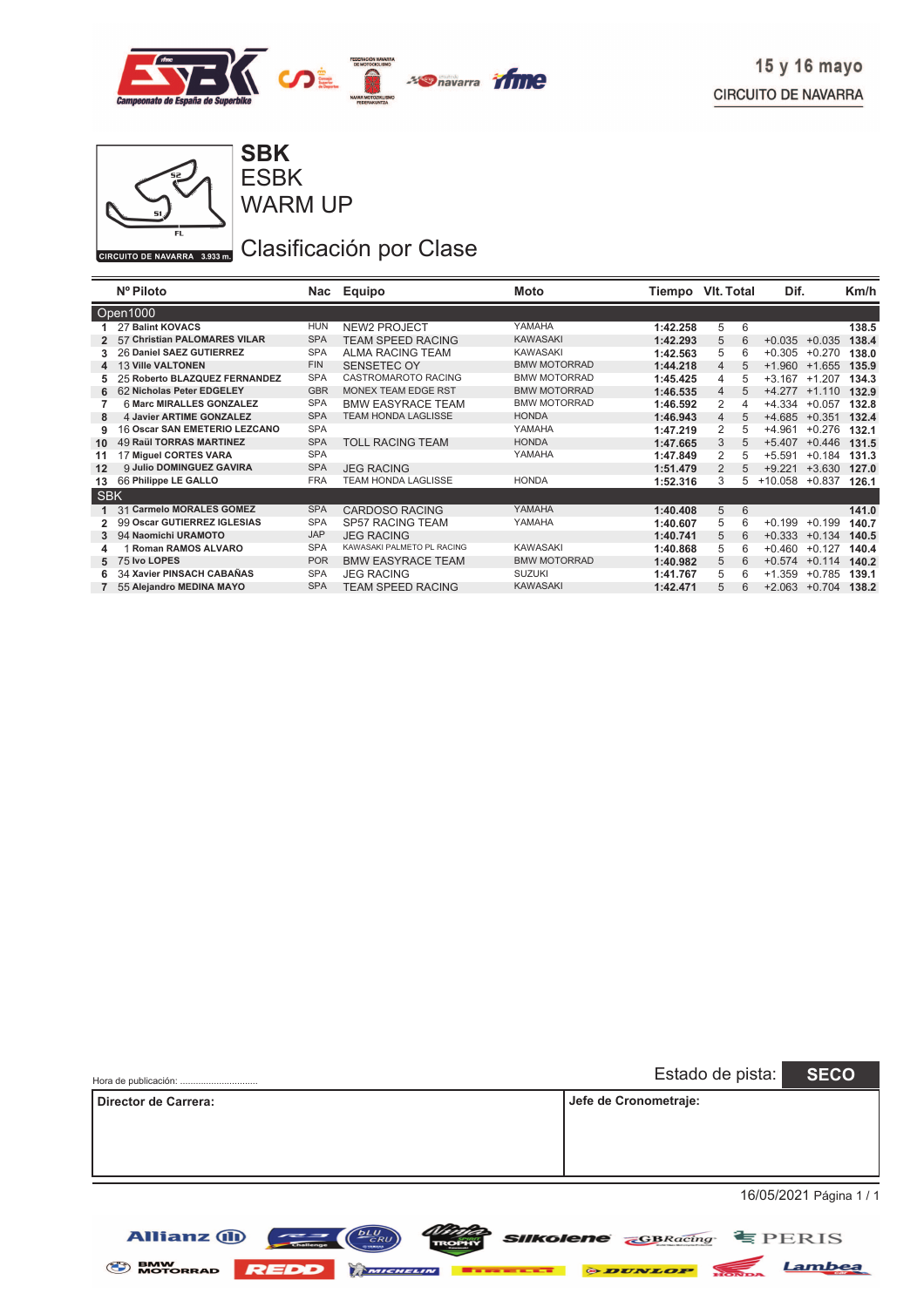

**SBK**

Allianz  $\bigoplus$   $\bigoplus$   $\bigoplus$   $\bigoplus$ 



WARM UP ESBK

# Clasificación por Clase

|            | Nº Piloto                      |            | Nac Equipo                 | Moto                | Tiempo   | VIt. Total | Dif.                 | Km/h  |
|------------|--------------------------------|------------|----------------------------|---------------------|----------|------------|----------------------|-------|
| Open1000   |                                |            |                            |                     |          |            |                      |       |
|            | <b>27 Balint KOVACS</b>        | HUN        | <b>NEW2 PROJECT</b>        | YAMAHA              | 1:42.258 | 5<br>6     |                      | 138.5 |
|            | 57 Christian PALOMARES VILAR   | <b>SPA</b> | <b>TEAM SPEED RACING</b>   | <b>KAWASAKI</b>     | 1:42.293 | 5<br>6     | $+0.035$<br>$+0.035$ | 138.4 |
|            | 26 Daniel SAEZ GUTIERREZ       | <b>SPA</b> | <b>ALMA RACING TEAM</b>    | <b>KAWASAKI</b>     | 1:42.563 | 5          | $+0.270$<br>$+0.305$ | 138.0 |
| 4          | <b>13 Ville VALTONEN</b>       | <b>FIN</b> | <b>SENSETEC OY</b>         | <b>BMW MOTORRAD</b> | 1:44.218 | 4<br>5     | $+1.960$<br>$+1.655$ | 135.9 |
|            | 25 Roberto BLAZQUEZ FERNANDEZ  | <b>SPA</b> | <b>CASTROMAROTO RACING</b> | <b>BMW MOTORRAD</b> | 1:45.425 | 4<br>5     | $+3.167$<br>$+1.207$ | 134.3 |
| 6          | 62 Nicholas Peter EDGELEY      | <b>GBR</b> | <b>MONEX TEAM EDGE RST</b> | <b>BMW MOTORRAD</b> | 1:46.535 | 4<br>5     | $+4.277$<br>$+1.110$ | 132.9 |
|            | 6 Marc MIRALLES GONZALEZ       | <b>SPA</b> | <b>BMW EASYRACE TEAM</b>   | <b>BMW MOTORRAD</b> | 1:46.592 | 2          | +4.334<br>$+0.057$   | 132.8 |
| 8          | 4 Javier ARTIME GONZALEZ       | <b>SPA</b> | <b>TEAM HONDA LAGLISSE</b> | <b>HONDA</b>        | 1:46.943 | 4<br>5     | $+4.685$<br>$+0.351$ | 132.4 |
| 9          | 16 Oscar SAN EMETERIO LEZCANO  | <b>SPA</b> |                            | YAMAHA              | 1:47.219 | 2<br>5     | $+4.961$<br>$+0.276$ | 132.1 |
| 10         | <b>49 Raül TORRAS MARTINEZ</b> | <b>SPA</b> | <b>TOLL RACING TEAM</b>    | <b>HONDA</b>        | 1:47.665 | 3          | $+0.446$<br>$+5.407$ | 131.5 |
| 11         | 17 Miguel CORTES VARA          | <b>SPA</b> |                            | YAMAHA              | 1:47.849 | 2<br>5     | $+5.591$<br>$+0.184$ | 131.3 |
| 12         | 9 Julio DOMINGUEZ GAVIRA       | <b>SPA</b> | <b>JEG RACING</b>          |                     | 1:51.479 | 2<br>5     | $+3.630$<br>$+9.221$ | 127.0 |
| 13         | 66 Philippe LE GALLO           | <b>FRA</b> | TEAM HONDA LAGLISSE        | <b>HONDA</b>        | 1:52.316 | 3<br>5.    | +10.058<br>$+0.837$  | 126.1 |
| <b>SBK</b> |                                |            |                            |                     |          |            |                      |       |
| 1          | 31 Carmelo MORALES GOMEZ       | <b>SPA</b> | <b>CARDOSO RACING</b>      | YAMAHA              | 1:40.408 | 5<br>6     |                      | 141.0 |
| 2          | 99 Oscar GUTIERREZ IGLESIAS    | <b>SPA</b> | <b>SP57 RACING TEAM</b>    | YAMAHA              | 1:40.607 | 5<br>6     | $+0.199$<br>$+0.199$ | 140.7 |
|            | 94 Naomichi URAMOTO            | <b>JAP</b> | <b>JEG RACING</b>          |                     | 1:40.741 | 5<br>6     | $+0.333$<br>$+0.134$ | 140.5 |
|            | Roman RAMOS ALVARO             | <b>SPA</b> | KAWASAKI PALMETO PL RACING | <b>KAWASAKI</b>     | 1:40.868 | 5<br>6     | $+0.460$<br>$+0.127$ | 140.4 |
| 5          | 75 Ivo LOPES                   | <b>POR</b> | <b>BMW EASYRACE TEAM</b>   | <b>BMW MOTORRAD</b> | 1:40.982 | 5<br>6     | $+0.114$<br>$+0.574$ | 140.2 |
|            | 34 Xavier PINSACH CABAÑAS      | <b>SPA</b> | <b>JEG RACING</b>          | <b>SUZUKI</b>       | 1:41.767 | 5<br>6     | $+0.785$<br>$+1.359$ | 139.1 |
|            | 55 Alejandro MEDINA MAYO       | <b>SPA</b> | <b>TEAM SPEED RACING</b>   | <b>KAWASAKI</b>     | 1:42.471 | 5          | $+2.063 +0.704$      | 138.2 |

| Hora de publicación: | Estado de pista: SECO |                         |
|----------------------|-----------------------|-------------------------|
| Director de Carrera: | Jefe de Cronometraje: |                         |
|                      |                       |                         |
|                      |                       |                         |
|                      |                       |                         |
|                      |                       | 16/05/2021 Página 1 / 1 |

BMW MOTORRAD REDD MMCHELIN **BERKELLE & DUNLOP** NONDA Lambea

*NDOR* SIIKolene **GBRacing** EPERIS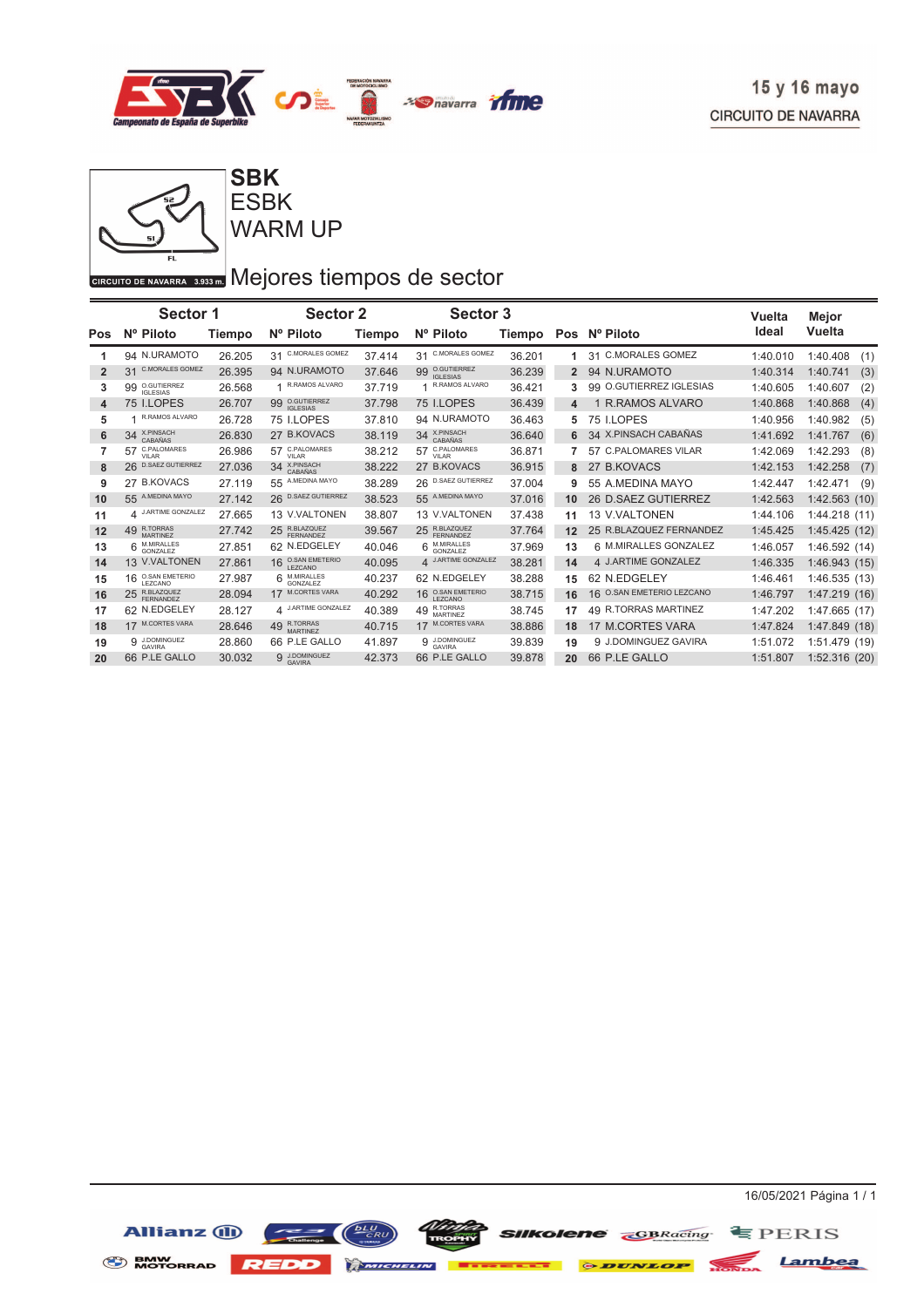

**SBK**

WARM UP ESBK

## GIRCUITO DE NAVARRA 3.933 DI Mejores tiempos de sector

|                         | <b>Sector 1</b>                        |        | <b>Sector 2</b>                               |        | Sector 3                               |        |                |                                | Vuelta   | Mejor            |
|-------------------------|----------------------------------------|--------|-----------------------------------------------|--------|----------------------------------------|--------|----------------|--------------------------------|----------|------------------|
| Pos                     | Nº Piloto                              | Tiempo | Nº Piloto                                     | Tiempo | Nº Piloto                              | Tiempo | Pos            | Nº Piloto                      | Ideal    | <b>Vuelta</b>    |
|                         | 94 N.URAMOTO                           | 26.205 | <b>C.MORALES GOMEZ</b><br>31                  | 37.414 | <b>C.MORALES GOMEZ</b><br>31           | 36.201 |                | 31 C.MORALES GOMEZ             | 1:40.010 | 1:40.408<br>(1)  |
| $\overline{\mathbf{2}}$ | <b>C.MORALES GOMEZ</b><br>31           | 26.395 | 94 N.URAMOTO                                  | 37.646 | O.GUTIERREZ<br>99<br><b>IGLESIAS</b>   | 36.239 | $\overline{2}$ | 94 N.URAMOTO                   | 1:40.314 | 1:40.741<br>(3)  |
| 3                       | 99 O.GUTIERREZ<br><b>IGI ESIAS</b>     | 26.568 | R.RAMOS ALVARO                                | 37.719 | R.RAMOS ALVARO                         | 36.421 | 3              | O.GUTIERREZ IGLESIAS<br>99     | 1:40.605 | (2)<br>1:40.607  |
| 4                       | 75 I.LOPES                             | 26.707 | O.GUTIERREZ<br>99<br><b>IGLESIAS</b>          | 37.798 | 75 I.LOPES                             | 36.439 | 4              | 1 R.RAMOS ALVARO               | 1:40.868 | (4)<br>1:40.868  |
| 5                       | R.RAMOS ALVARO                         | 26.728 | 75 I.LOPES                                    | 37.810 | 94 N.URAMOTO                           | 36.463 | 5              | 75 I.LOPES                     | 1:40.956 | 1:40.982<br>(5)  |
| 6                       | 34 X.PINSACH<br>CABAÑAS                | 26.830 | 27 B.KOVACS                                   | 38.119 | X.PINSACH<br>CABAÑAS<br>34             | 36.640 | 6              | 34 X.PINSACH CABAÑAS           | 1:41.692 | (6)<br>1:41.767  |
|                         | C.PALOMARES<br>57<br>VII AR            | 26.986 | C.PALOMARES<br>57<br>VII AR                   | 38.212 | C.PALOMARES<br>57<br>VII AR            | 36.871 |                | <b>C.PALOMARES VILAR</b><br>57 | 1:42.069 | 1:42.293<br>(8)  |
| 8                       | 26 D.SAEZ GUTIERREZ                    | 27.036 | 34 X.PINSACH<br>CABAÑAS                       | 38.222 | 27 B.KOVACS                            | 36.915 | 8              | <b>B.KOVACS</b><br>27          | 1:42.153 | (7)<br>1:42.258  |
| 9                       | 27 B.KOVACS                            | 27.119 | A.MEDINA MAYO<br>55                           | 38.289 | <b>D.SAEZ GUTIERREZ</b><br>26          | 37.004 | 9              | 55 A.MEDINA MAYO               | 1:42.447 | 1:42.471<br>(9)  |
| 10                      | A.MEDINA MAYO<br>55                    | 27.142 | <b>D.SAEZ GUTIERREZ</b><br>26                 | 38.523 | A.MEDINA MAYO<br>55                    | 37.016 | 10             | 26 D.SAEZ GUTIERREZ            | 1:42.563 | 1:42.563<br>(10) |
| 11                      | 4 J.ARTIME GONZALEZ                    | 27.665 | 13 V.VALTONEN                                 | 38.807 | 13 V.VALTONEN                          | 37.438 | 11             | 13 V.VALTONEN                  | 1:44.106 | 1:44.218 (11)    |
| 12                      | 49 R.TORRAS<br>MARTINFZ                | 27.742 | R.BLAZQUEZ<br>25<br>FFRNANDEZ                 | 39.567 | R.BLAZQUEZ<br>25<br>FERNANDEZ          | 37.764 | 12             | 25 R.BLAZQUEZ FERNANDEZ        | 1:45.425 | 1:45.425(12)     |
| 13                      | M.MIRALLES<br>GONZALEZ                 | 27.851 | 62 N.EDGELEY                                  | 40.046 | M.MIRALLES<br>GONZALEZ                 | 37.969 | 13             | 6 M.MIRALLES GONZALEZ          | 1:46.057 | 1:46.592 (14)    |
| 14                      | 13 V.VALTONEN                          | 27.861 | <b>O.SAN EMETERIO</b><br>16<br><b>LEZCANO</b> | 40.095 | 4 J.ARTIME GONZALEZ                    | 38.281 | 14             | 4 J.ARTIME GONZALEZ            | 1:46.335 | 1:46.943(15)     |
| 15                      | <b>O.SAN EMETERIO</b><br>16<br>LEZCANO | 27.987 | $6$ M.MIRALLES<br>GONZALEZ                    | 40.237 | 62 N.EDGELEY                           | 38.288 | 15             | 62 N.EDGELEY                   | 1:46.461 | 1:46.535 (13)    |
| 16                      | 25 R.BLAZQUEZ<br>FFRNANDEZ             | 28.094 | 17 M.CORTES VARA                              | 40.292 | <b>O.SAN EMETERIO</b><br>16<br>LEZCANO | 38.715 | 16             | O.SAN EMETERIO LEZCANO<br>16   | 1:46.797 | 1:47.219(16)     |
| 17                      | 62 N.EDGELEY                           | 28.127 | 4 J.ARTIME GONZALEZ                           | 40.389 | R.TORRAS<br>49<br><b>MARTINEZ</b>      | 38.745 | 17             | 49 R.TORRAS MARTINEZ           | 1:47.202 | 1:47.665 (17)    |
| 18                      | 17 M.CORTES VARA                       | 28.646 | <b>R.TORRAS</b><br>49<br><b>MARTINFZ</b>      | 40.715 | <b>M.CORTES VARA</b><br>17             | 38.886 | 18             | 17 M.CORTES VARA               | 1:47.824 | 1:47.849 (18)    |
| 19                      | 9 J.DOMINGUEZ                          | 28.860 | 66 P.LE GALLO                                 | 41.897 | 9 J.DOMINGUEZ<br>GAVIRA                | 39.839 | 19             | 9 J.DOMINGUEZ GAVIRA           | 1:51.072 | 1:51.479 (19)    |
| 20                      | 66 P.LE GALLO                          | 30.032 | 9 J.DOMINGUEZ<br><b>GAVIRA</b>                | 42.373 | 66 P.LE GALLO                          | 39.878 | 20             | 66 P.LE GALLO                  | 1:51.807 | 1:52.316(20)     |



**With SIIKolene CBRacing SPERIS** 

Allianz  $\overline{w}$   $\overline{w}$   $\overline{w}$   $\overline{w}$   $\overline{w}$ **SENW REDD MICHELIN EXECUTE & DUNLOP MONDA Lambea**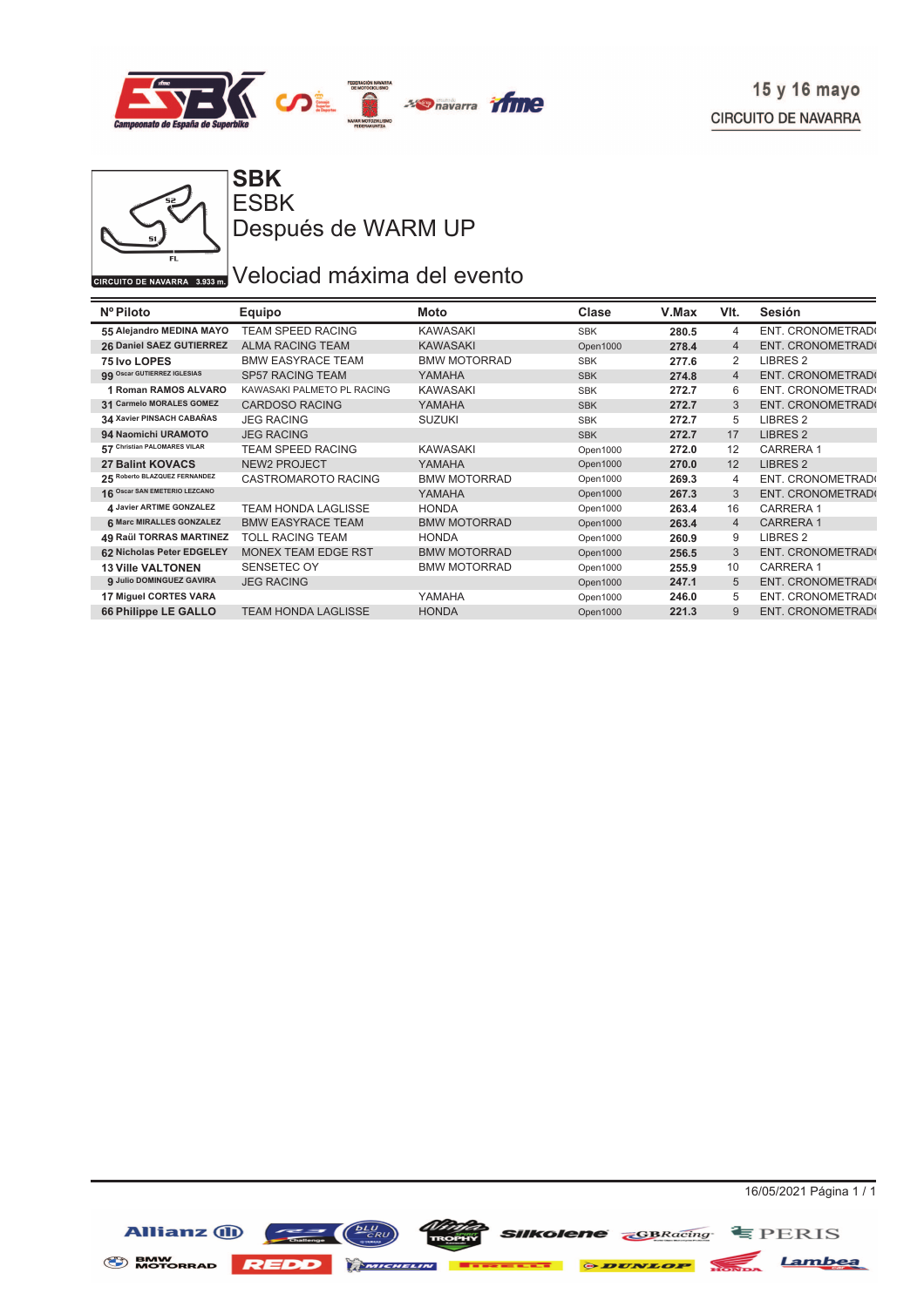



ESBK Después de WARM UP

### GIRCUITO DE NAVARRA 3.933 DE Velociad máxima del evento

| Nº Piloto                       | <b>Equipo</b>              | Moto                | Clase      | V.Max | VIt.           | Sesión                  |
|---------------------------------|----------------------------|---------------------|------------|-------|----------------|-------------------------|
| 55 Alejandro MEDINA MAYO        | <b>TEAM SPEED RACING</b>   | KAWASAKI            | <b>SBK</b> | 280.5 | 4              | ENT. CRONOMETRAD(       |
| 26 Daniel SAEZ GUTIERREZ        | <b>ALMA RACING TEAM</b>    | <b>KAWASAKI</b>     | Open1000   | 278.4 | $\overline{4}$ | <b>ENT. CRONOMETRAD</b> |
| 75 Ivo LOPES                    | <b>BMW EASYRACE TEAM</b>   | <b>BMW MOTORRAD</b> | <b>SBK</b> | 277.6 | 2              | LIBRES <sub>2</sub>     |
| 99 Oscar GUTIERREZ IGLESIAS     | <b>SP57 RACING TEAM</b>    | YAMAHA              | <b>SBK</b> | 274.8 | $\overline{4}$ | ENT. CRONOMETRAD(       |
| <b>1 Roman RAMOS ALVARO</b>     | KAWASAKI PALMETO PL RACING | KAWASAKI            | <b>SBK</b> | 272.7 | 6              | ENT. CRONOMETRAD(       |
| 31 Carmelo MORALES GOMEZ        | <b>CARDOSO RACING</b>      | YAMAHA              | <b>SBK</b> | 272.7 | 3              | ENT. CRONOMETRAD(       |
| 34 Xavier PINSACH CABAÑAS       | <b>JEG RACING</b>          | <b>SUZUKI</b>       | <b>SBK</b> | 272.7 | 5              | LIBRES <sub>2</sub>     |
| 94 Naomichi URAMOTO             | <b>JEG RACING</b>          |                     | <b>SBK</b> | 272.7 | 17             | LIBRES <sub>2</sub>     |
| 57 Christian PALOMARES VILAR    | <b>TEAM SPEED RACING</b>   | <b>KAWASAKI</b>     | Open1000   | 272.0 | 12             | <b>CARRERA1</b>         |
| <b>27 Balint KOVACS</b>         | <b>NEW2 PROJECT</b>        | YAMAHA              | Open1000   | 270.0 | 12             | LIBRES <sub>2</sub>     |
| 25 Roberto BLAZQUEZ FERNANDEZ   | CASTROMAROTO RACING        | <b>BMW MOTORRAD</b> | Open1000   | 269.3 | 4              | ENT. CRONOMETRAD        |
| 16 Oscar SAN EMETERIO LEZCANO   |                            | YAMAHA              | Open1000   | 267.3 | 3              | <b>ENT. CRONOMETRAD</b> |
| 4 Javier ARTIME GONZALEZ        | <b>TEAM HONDA LAGLISSE</b> | <b>HONDA</b>        | Open1000   | 263.4 | 16             | <b>CARRERA1</b>         |
| 6 Marc MIRALLES GONZALEZ        | <b>BMW EASYRACE TEAM</b>   | <b>BMW MOTORRAD</b> | Open1000   | 263.4 | $\overline{4}$ | <b>CARRERA1</b>         |
| 49 Raül TORRAS MARTINEZ         | TOLL RACING TEAM           | <b>HONDA</b>        | Open1000   | 260.9 | 9              | LIBRES <sub>2</sub>     |
| 62 Nicholas Peter EDGELEY       | <b>MONEX TEAM EDGE RST</b> | <b>BMW MOTORRAD</b> | Open1000   | 256.5 | 3              | ENT. CRONOMETRAD(       |
| <b>13 Ville VALTONEN</b>        | SENSETEC OY                | <b>BMW MOTORRAD</b> | Open1000   | 255.9 | 10             | <b>CARRERA1</b>         |
| <b>9 Julio DOMINGUEZ GAVIRA</b> | <b>JEG RACING</b>          |                     | Open1000   | 247.1 | 5              | ENT. CRONOMETRAD(       |
| 17 Miguel CORTES VARA           |                            | YAMAHA              | Open1000   | 246.0 | 5              | ENT. CRONOMETRAD        |
| 66 Philippe LE GALLO            | <b>TEAM HONDA LAGLISSE</b> | <b>HONDA</b>        | Open1000   | 221.3 | 9              | <b>ENT. CRONOMETRAD</b> |



**SIIKolene GBRacing** EPERIS

BMW MOTORRAD REDD MINIMUM **Execute & DUNLOP** NONDA Lambea

Allianz (ii)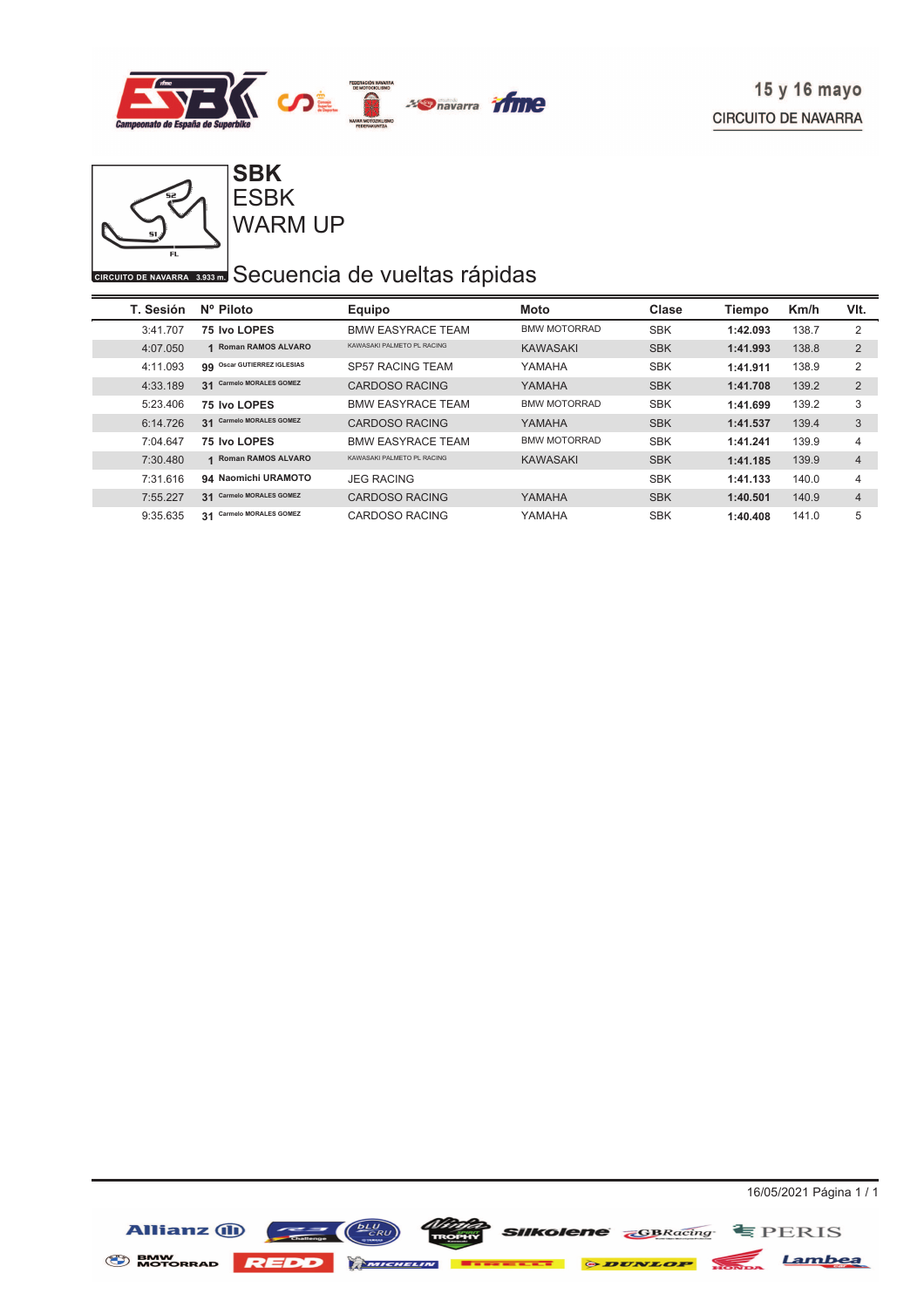



WARM UP ESBK

### GIRCUITO DE NAVARRA 3.933 DO SECUENCÍA de vueltas rápidas

| T. Sesión | Nº Piloto                                         | Equipo                      | Moto                | Clase      | Tiempo   | Km/h  | VIt.           |
|-----------|---------------------------------------------------|-----------------------------|---------------------|------------|----------|-------|----------------|
| 3:41.707  | 75 Ivo LOPES                                      | <b>BMW EASYRACE TEAM</b>    | <b>BMW MOTORRAD</b> | <b>SBK</b> | 1:42.093 | 138.7 | 2              |
| 4:07.050  | <b>Roman RAMOS ALVARO</b><br>$\blacktriangleleft$ | KAWASAKI PAI METO PI RACING | <b>KAWASAKI</b>     | <b>SBK</b> | 1:41.993 | 138.8 | $\overline{2}$ |
| 4:11.093  | <b>Oscar GUTIERREZ IGLESIAS</b><br>99             | SP57 RACING TEAM            | YAMAHA              | <b>SBK</b> | 1:41.911 | 138.9 | 2              |
| 4:33.189  | <b>Carmelo MORALES GOMEZ</b><br>31                | <b>CARDOSO RACING</b>       | YAMAHA              | <b>SBK</b> | 1:41.708 | 139.2 | 2              |
| 5:23.406  | 75 Ivo LOPES                                      | <b>BMW EASYRACE TEAM</b>    | <b>BMW MOTORRAD</b> | <b>SBK</b> | 1:41.699 | 139.2 | 3              |
| 6:14.726  | <b>Carmelo MORALES GOMEZ</b><br>31                | CARDOSO RACING              | YAMAHA              | <b>SBK</b> | 1:41.537 | 139.4 | 3              |
| 7:04.647  | 75 Ivo LOPES                                      | <b>BMW EASYRACE TEAM</b>    | <b>BMW MOTORRAD</b> | <b>SBK</b> | 1:41.241 | 139.9 | 4              |
| 7:30.480  | <b>Roman RAMOS ALVARO</b><br>$\blacktriangleleft$ | KAWASAKI PALMETO PL RACING  | <b>KAWASAKI</b>     | <b>SBK</b> | 1:41.185 | 139.9 | $\overline{4}$ |
| 7:31.616  | 94 Naomichi URAMOTO                               | <b>JEG RACING</b>           |                     | <b>SBK</b> | 1:41.133 | 140.0 | 4              |
| 7:55.227  | <b>Carmelo MORALES GOMEZ</b><br>31                | <b>CARDOSO RACING</b>       | YAMAHA              | <b>SBK</b> | 1:40.501 | 140.9 | $\overline{4}$ |
| 9:35.635  | <b>Carmelo MORALES GOMEZ</b><br>31                | CARDOSO RACING              | YAMAHA              | <b>SBK</b> | 1:40.408 | 141.0 | 5              |

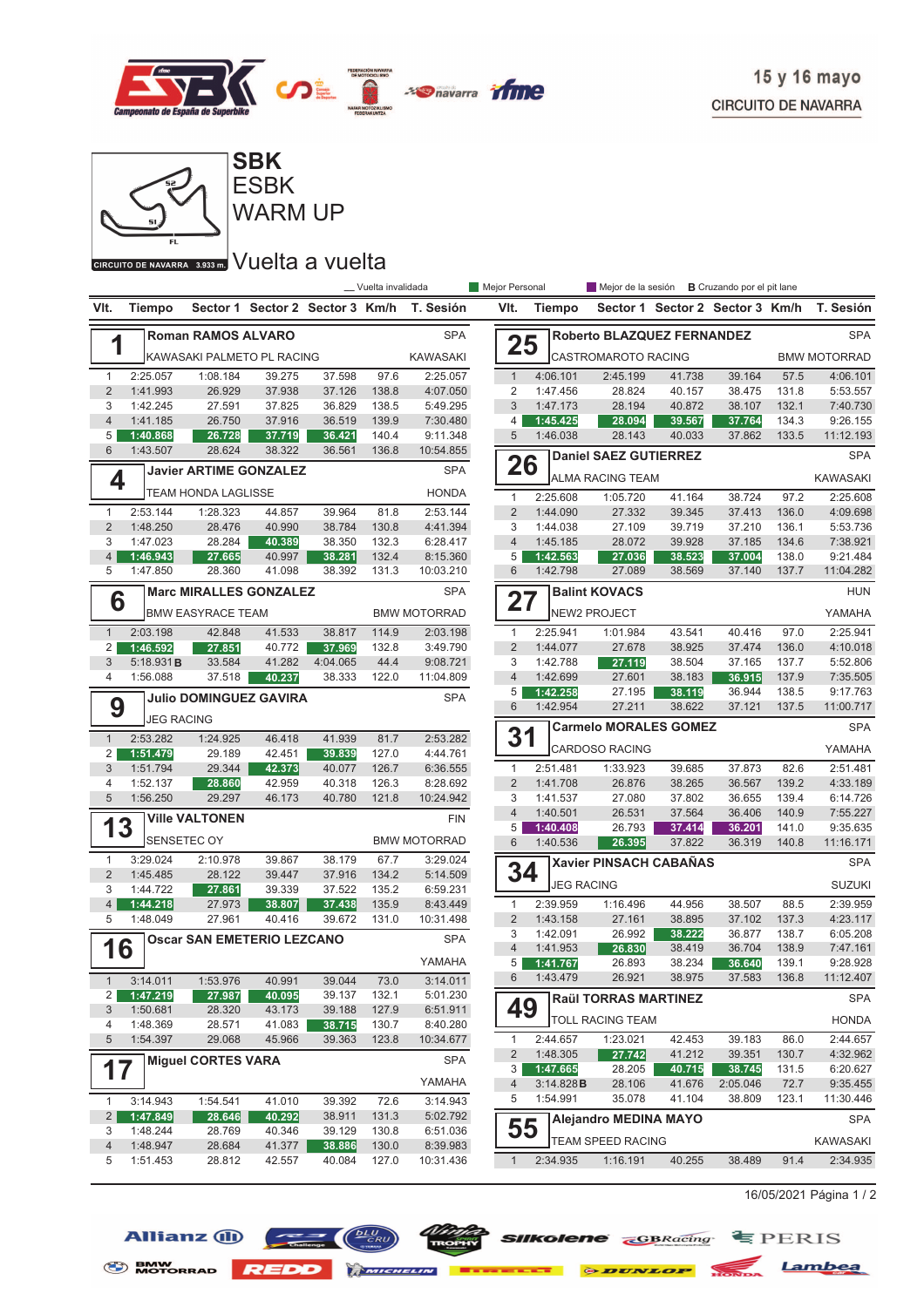



WARM UP

GIRCUITO DE NAVARRA 3.933m. VUEIta a vuelta

|                     |                      |                                   |                                 |                  | __ Vuelta invalidada |                      | Mejor Personal      |                      |                               | Mejor de la sesión <b>B</b> Cruzando por el pit lane |                  |                |                      |
|---------------------|----------------------|-----------------------------------|---------------------------------|------------------|----------------------|----------------------|---------------------|----------------------|-------------------------------|------------------------------------------------------|------------------|----------------|----------------------|
| VIt.                | Tiempo               |                                   | Sector 1 Sector 2 Sector 3 Km/h |                  |                      | T. Sesión            | VIt.                | Tiempo               |                               | Sector 1 Sector 2 Sector 3 Km/h                      |                  |                | T. Sesión            |
|                     |                      | <b>Roman RAMOS ALVARO</b>         |                                 |                  |                      | <b>SPA</b>           |                     |                      | Roberto BLAZQUEZ FERNANDEZ    |                                                      |                  |                | <b>SPA</b>           |
| 1                   |                      | KAWASAKI PALMETO PL RACING        |                                 |                  |                      | <b>KAWASAKI</b>      | 25                  |                      | CASTROMAROTO RACING           |                                                      |                  |                | <b>BMW MOTORRAD</b>  |
| $\mathbf{1}$        | 2:25.057             | 1:08.184                          | 39.275                          | 37.598           | 97.6                 | 2:25.057             | $\mathbf{1}$        | 4:06.101             | 2:45.199                      | 41.738                                               | 39.164           | 57.5           | 4:06.101             |
| $\overline{2}$      | 1:41.993             | 26.929                            | 37.938                          | 37.126           | 138.8                | 4:07.050             | $\overline{2}$      | 1:47.456             | 28.824                        | 40.157                                               | 38.475           | 131.8          | 5:53.557             |
| 3                   | 1:42.245             | 27.591                            | 37.825                          | 36.829           | 138.5                | 5:49.295             | 3                   | 1:47.173             | 28.194                        | 40.872                                               | 38.107           | 132.1          | 7:40.730             |
| $\overline{4}$      | 1:41.185             | 26.750                            | 37.916                          | 36.519           | 139.9                | 7:30.480             | 4                   | 1:45.425             | 28.094                        | 39.567                                               | 37.764           | 134.3          | 9:26.155             |
| 5                   | 1:40.868             | 26.728                            | 37.719                          | 36.421           | 140.4                | 9:11.348             | 5                   | 1:46.038             | 28.143                        | 40.033                                               | 37.862           | 133.5          | 11:12.193            |
| 6                   | 1:43.507             | 28.624                            | 38.322                          | 36.561           | 136.8                | 10:54.855            | 26                  |                      | <b>Daniel SAEZ GUTIERREZ</b>  |                                                      |                  |                | <b>SPA</b>           |
| 4                   |                      | <b>Javier ARTIME GONZALEZ</b>     |                                 |                  |                      | <b>SPA</b>           |                     |                      | <b>ALMA RACING TEAM</b>       |                                                      |                  |                | <b>KAWASAKI</b>      |
|                     |                      | <b>TEAM HONDA LAGLISSE</b>        |                                 |                  |                      | <b>HONDA</b>         | $\mathbf{1}$        | 2:25.608             | 1:05.720                      | 41.164                                               | 38.724           | 97.2           | 2:25.608             |
| $\mathbf{1}$        | 2:53.144             | 1:28.323                          | 44.857                          | 39.964           | 81.8                 | 2:53.144             | $\overline{2}$      | 1:44.090             | 27.332                        | 39.345                                               | 37.413           | 136.0          | 4:09.698             |
| $\overline{2}$      | 1:48.250             | 28.476                            | 40.990                          | 38.784           | 130.8                | 4:41.394             | 3                   | 1:44.038             | 27.109                        | 39.719                                               | 37.210           | 136.1          | 5:53.736             |
| 3                   | 1:47.023             | 28.284                            | 40.389                          | 38.350           | 132.3                | 6:28.417             | $\overline{4}$      | 1:45.185             | 28.072                        | 39.928                                               | 37.185           | 134.6          | 7:38.921             |
| 4                   | 1:46.943             | 27.665                            | 40.997                          | 38.281           | 132.4                | 8:15.360             | 5                   | 1:42.563             | 27.036                        | 38.523                                               | 37.004           | 138.0          | 9:21.484             |
| 5                   | 1:47.850             | 28.360                            | 41.098                          | 38.392           | 131.3                | 10:03.210            | 6                   | 1:42.798             | 27.089                        | 38.569                                               | 37.140           | 137.7          | 11:04.282            |
| 6                   |                      | <b>Marc MIRALLES GONZALEZ</b>     |                                 |                  |                      | <b>SPA</b>           | 27                  |                      | <b>Balint KOVACS</b>          |                                                      |                  |                | <b>HUN</b>           |
|                     |                      | <b>BMW EASYRACE TEAM</b>          |                                 |                  |                      | <b>BMW MOTORRAD</b>  |                     |                      | <b>NEW2 PROJECT</b>           |                                                      |                  |                | YAMAHA               |
| $\mathbf{1}$        | 2:03.198             | 42.848                            | 41.533                          | 38.817           | 114.9                | 2:03.198             | $\mathbf{1}$        | 2:25.941             | 1:01.984                      | 43.541                                               | 40.416           | 97.0           | 2:25.941             |
| 2                   | 1:46.592             | 27.851                            | 40.772                          | 37.969           | 132.8                | 3:49.790             | $\overline{2}$      | 1:44.077             | 27.678                        | 38.925                                               | 37.474           | 136.0          | 4:10.018             |
| 3                   | 5:18.931B            | 33.584                            | 41.282                          | 4:04.065         | 44.4                 | 9:08.721             | 3                   | 1:42.788             | 27.119                        | 38.504                                               | 37.165           | 137.7          | 5:52.806             |
| 4                   | 1:56.088             | 37.518                            | 40.237                          | 38.333           | 122.0                | 11:04.809            | $\overline{4}$      | 1:42.699             | 27.601                        | 38.183                                               | 36.915           | 137.9          | 7:35.505             |
|                     |                      | <b>Julio DOMINGUEZ GAVIRA</b>     |                                 |                  |                      | <b>SPA</b>           | 5                   | 1:42.258             | 27.195                        | 38.119                                               | 36.944           | 138.5          | 9:17.763             |
| 9                   | <b>JEG RACING</b>    |                                   |                                 |                  |                      |                      | 6                   | 1:42.954             | 27.211                        | 38.622                                               | 37.121           | 137.5          | 11:00.717            |
|                     |                      |                                   |                                 |                  |                      |                      | 31                  |                      | <b>Carmelo MORALES GOMEZ</b>  |                                                      |                  |                | <b>SPA</b>           |
| $\mathbf{1}$        | 2:53.282             | 1:24.925                          | 46.418                          | 41.939           | 81.7                 | 2:53.282<br>4:44.761 |                     |                      | <b>CARDOSO RACING</b>         |                                                      |                  |                | YAMAHA               |
| $\overline{2}$<br>3 | 1:51.479<br>1:51.794 | 29.189<br>29.344                  | 42.451<br>42.373                | 39.839<br>40.077 | 127.0<br>126.7       | 6:36.555             | $\mathbf{1}$        | 2:51.481             | 1:33.923                      | 39.685                                               | 37.873           | 82.6           | 2:51.481             |
| 4                   | 1:52.137             | 28.860                            | 42.959                          | 40.318           | 126.3                | 8:28.692             | $\overline{2}$      | 1:41.708             | 26.876                        | 38.265                                               | 36.567           | 139.2          | 4:33.189             |
| 5                   | 1:56.250             | 29.297                            | 46.173                          | 40.780           | 121.8                | 10:24.942            | 3                   | 1:41.537             | 27.080                        | 37.802                                               | 36.655           | 139.4          | 6:14.726             |
|                     |                      |                                   |                                 |                  |                      |                      | $\overline{4}$      | 1:40.501             | 26.531                        | 37.564                                               | 36.406           | 140.9          | 7:55.227             |
| 13                  |                      | <b>Ville VALTONEN</b>             |                                 |                  |                      | <b>FIN</b>           | 5                   | 1:40.408             | 26.793                        | 37.414                                               | 36.201           | 141.0          | 9:35.635             |
|                     |                      | SENSETEC OY                       |                                 |                  |                      | <b>BMW MOTORRAD</b>  | 6                   | 1:40.536             | 26.395                        | 37.822                                               | 36.319           | 140.8          | 11:16.171            |
| $\mathbf{1}$        | 3:29.024             | 2:10.978                          | 39.867                          | 38.179           | 67.7                 | 3:29.024             |                     |                      | <b>Xavier PINSACH CABANAS</b> |                                                      |                  |                | <b>SPA</b>           |
| $\overline{2}$      | 1:45.485             | 28.122                            | 39.447                          | 37.916           | 134.2                | 5:14.509             | 34                  | <b>JEG RACING</b>    |                               |                                                      |                  |                | <b>SUZUKI</b>        |
| 3                   | 1:44.722             | 27.861                            | 39.339                          | 37.522           | 135.2                | 6:59.231             |                     |                      |                               |                                                      |                  |                |                      |
| $\overline{4}$      | 1:44.218             | 27.973                            | 38.807                          | 37.438           | 135.9                | 8:43.449             | $\mathbf{1}$        | 2:39.959             | 1:16.496                      | 44.956                                               | 38.507           | 88.5           | 2:39.959             |
| 5                   | 1:48.049             | 27.961                            | 40.416                          | 39.672           | 131.0                | 10:31.498            | $\overline{2}$<br>3 | 1:43.158<br>1:42.091 | 27.161                        | 38.895                                               | 37.102<br>36.877 | 137.3<br>138.7 | 4:23.117<br>6:05.208 |
|                     |                      | <b>Oscar SAN EMETERIO LEZCANO</b> |                                 |                  |                      | <b>SPA</b>           | $\overline{4}$      | 1:41.953             | 26.992<br>26.830              | 38.222<br>38.419                                     | 36.704           | 138.9          | 7:47.161             |
| 16                  |                      |                                   |                                 |                  |                      | YAMAHA               | 5 <sup>1</sup>      | 1:41.767             | 26.893                        | 38.234                                               | 36.640           | 139.1          | 9:28.928             |
|                     | 3:14.011             |                                   |                                 | 39.044           |                      | 3:14.011             | 6                   | 1:43.479             | 26.921                        | 38.975                                               | 37.583           | 136.8          | 11:12.407            |
| 1<br>$\overline{2}$ | 1:47.219             | 1:53.976<br>27.987                | 40.991<br>40.095                | 39.137           | 73.0<br>132.1        | 5:01.230             |                     |                      |                               |                                                      |                  |                |                      |
| 3                   | 1:50.681             | 28.320                            | 43.173                          | 39.188           | 127.9                | 6:51.911             | 49                  |                      | <b>Raül TORRAS MARTINEZ</b>   |                                                      |                  |                | SPA                  |
| 4                   | 1:48.369             | 28.571                            | 41.083                          | 38.715           | 130.7                | 8:40.280             |                     |                      | <b>TOLL RACING TEAM</b>       |                                                      |                  |                | HONDA                |
| 5                   | 1:54.397             | 29.068                            | 45.966                          | 39.363           | 123.8                | 10:34.677            | 1                   | 2:44.657             | 1:23.021                      | 42.453                                               | 39.183           | 86.0           | 2:44.657             |
|                     |                      |                                   |                                 |                  |                      |                      | $\overline{2}$      | 1:48.305             | 27.742                        | 41.212                                               | 39.351           | 130.7          | 4:32.962             |
| 17                  |                      | <b>Miguel CORTES VARA</b>         |                                 |                  |                      | <b>SPA</b>           | 3                   | 1:47.665             | 28.205                        | 40.715                                               | 38.745           | 131.5          | 6:20.627             |
|                     |                      |                                   |                                 |                  |                      | YAMAHA               | 4                   | 3:14.828B            | 28.106                        | 41.676                                               | 2:05.046         | 72.7           | 9:35.455             |
| $\mathbf{1}$        | 3:14.943             | 1:54.541                          | 41.010                          | 39.392           | 72.6                 | 3:14.943             | 5                   | 1:54.991             | 35.078                        | 41.104                                               | 38.809           | 123.1          | 11:30.446            |
| $\overline{2}$      | 1:47.849             | 28.646                            | 40.292                          | 38.911           | 131.3                | 5:02.792             |                     |                      | <b>Alejandro MEDINA MAYO</b>  |                                                      |                  |                | <b>SPA</b>           |
| 3                   | 1:48.244             | 28.769                            | 40.346                          | 39.129           | 130.8                | 6:51.036             | 55                  |                      |                               |                                                      |                  |                |                      |
| $\overline{4}$      | 1:48.947             | 28.684                            | 41.377                          | 38.886           | 130.0                | 8:39.983             |                     |                      | <b>TEAM SPEED RACING</b>      |                                                      |                  |                | KAWASAKI             |
| 5                   | 1:51.453             | 28.812                            | 42.557                          | 40.084           | 127.0                | 10:31.436            | $\mathbf{1}$        | 2:34.935             | 1:16.191                      | 40.255                                               | 38.489           | 91.4           | 2:34.935             |
|                     |                      |                                   |                                 |                  |                      |                      |                     |                      |                               |                                                      |                  |                |                      |

 $16/05/2021$  Página 1 / 2







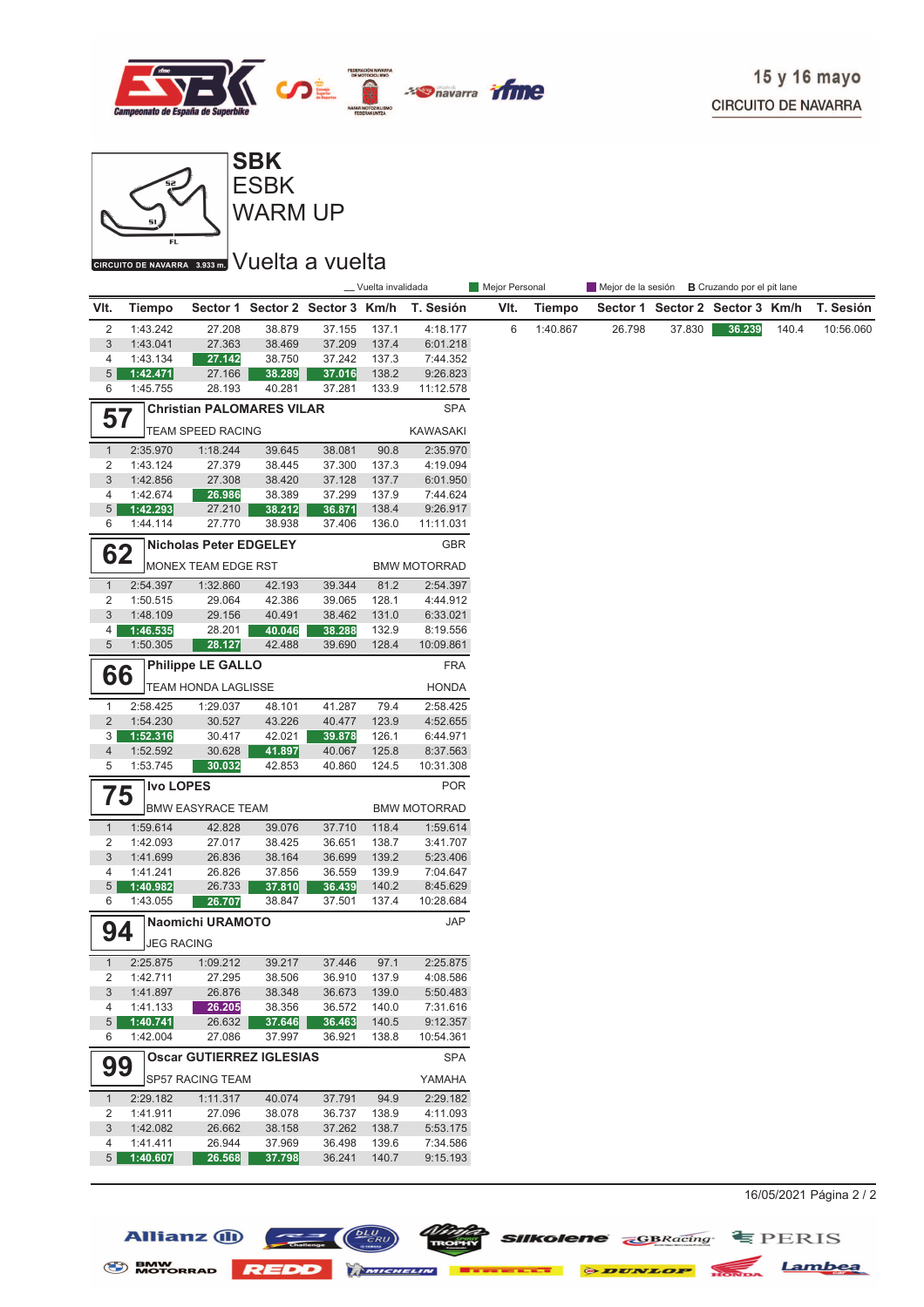



WARM UP **ESBK** 

#### CIRCUITO DE NAVARRA 3.933 m. VUelta a vuelta

|                 |                      |                                  |                                 |                  | _ Vuelta invalidada |                       | Mejor Personal |               | Mejor de la sesión <b>B</b> Cruzando por el pit lane |        |                                 |       |           |
|-----------------|----------------------|----------------------------------|---------------------------------|------------------|---------------------|-----------------------|----------------|---------------|------------------------------------------------------|--------|---------------------------------|-------|-----------|
| VIt.            | <b>Tiempo</b>        |                                  | Sector 1 Sector 2 Sector 3 Km/h |                  |                     | T. Sesión             | VIt.           | <b>Tiempo</b> |                                                      |        | Sector 1 Sector 2 Sector 3 Km/h |       | T. Sesión |
| 2               | 1:43.242             | 27.208                           | 38.879                          | 37.155           | 137.1               | 4:18.177              | 6              | 1:40.867      | 26.798                                               | 37.830 | 36.239                          | 140.4 | 10:56.060 |
| $\sqrt{3}$      | 1:43.041             | 27.363                           | 38.469                          | 37.209           | 137.4               | 6:01.218              |                |               |                                                      |        |                                 |       |           |
| 4               | 1:43.134             | 27.142                           | 38.750                          | 37.242           | 137.3               | 7:44.352              |                |               |                                                      |        |                                 |       |           |
| 5               | 1:42.471             | 27.166                           | 38.289                          | 37.016           | 138.2               | 9:26.823              |                |               |                                                      |        |                                 |       |           |
| 6               | 1:45.755             | 28.193                           | 40.281                          | 37.281           | 133.9               | 11:12.578             |                |               |                                                      |        |                                 |       |           |
| 57              |                      | <b>Christian PALOMARES VILAR</b> |                                 |                  |                     | <b>SPA</b>            |                |               |                                                      |        |                                 |       |           |
|                 |                      | TEAM SPEED RACING                |                                 |                  |                     | KAWASAKI              |                |               |                                                      |        |                                 |       |           |
| $\mathbf{1}$    | 2:35.970             | 1:18.244                         | 39.645                          | 38.081           | 90.8                | 2:35.970              |                |               |                                                      |        |                                 |       |           |
| 2               | 1:43.124             | 27.379                           | 38.445                          | 37.300           | 137.3               | 4:19.094              |                |               |                                                      |        |                                 |       |           |
| 3               | 1:42.856             | 27.308                           | 38.420                          | 37.128           | 137.7               | 6:01.950              |                |               |                                                      |        |                                 |       |           |
| 4<br>5          | 1:42.674             | 26.986                           | 38.389                          | 37.299           | 137.9<br>138.4      | 7:44.624              |                |               |                                                      |        |                                 |       |           |
| 6               | 1:42.293<br>1:44.114 | 27.210<br>27.770                 | 38.212<br>38.938                | 36.871<br>37.406 | 136.0               | 9:26.917<br>11:11.031 |                |               |                                                      |        |                                 |       |           |
|                 |                      |                                  |                                 |                  |                     |                       |                |               |                                                      |        |                                 |       |           |
| 62              |                      | <b>Nicholas Peter EDGELEY</b>    |                                 |                  |                     | GBR                   |                |               |                                                      |        |                                 |       |           |
|                 |                      | MONEX TEAM EDGE RST              |                                 |                  |                     | <b>BMW MOTORRAD</b>   |                |               |                                                      |        |                                 |       |           |
| $\mathbf{1}$    | 2:54.397             | 1:32.860                         | 42.193                          | 39.344           | 81.2                | 2:54.397              |                |               |                                                      |        |                                 |       |           |
| 2               | 1:50.515             | 29.064                           | 42.386                          | 39.065           | 128.1               | 4:44.912              |                |               |                                                      |        |                                 |       |           |
| $\mathbf{3}$    | 1:48.109             | 29.156                           | 40.491                          | 38.462           | 131.0               | 6:33.021              |                |               |                                                      |        |                                 |       |           |
| 4<br>5          | 1:46.535<br>1:50.305 | 28.201                           | 40.046                          | 38.288           | 132.9               | 8:19.556              |                |               |                                                      |        |                                 |       |           |
|                 |                      | 28.127                           | 42.488                          | 39.690           | 128.4               | 10:09.861             |                |               |                                                      |        |                                 |       |           |
| 66              |                      | <b>Philippe LE GALLO</b>         |                                 |                  |                     | <b>FRA</b>            |                |               |                                                      |        |                                 |       |           |
|                 |                      | TEAM HONDA LAGLISSE              |                                 |                  |                     | <b>HONDA</b>          |                |               |                                                      |        |                                 |       |           |
| $\mathbf{1}$    | 2:58.425             | 1:29.037                         | 48.101                          | 41.287           | 79.4                | 2:58.425              |                |               |                                                      |        |                                 |       |           |
| $\overline{2}$  | 1:54.230             | 30.527                           | 43.226                          | 40.477           | 123.9               | 4:52.655              |                |               |                                                      |        |                                 |       |           |
| 3               | 1:52.316             | 30.417                           | 42.021                          | 39.878           | 126.1               | 6:44.971              |                |               |                                                      |        |                                 |       |           |
| 4               | 1:52.592             | 30.628                           | 41.897                          | 40.067           | 125.8               | 8:37.563              |                |               |                                                      |        |                                 |       |           |
| 5               | 1:53.745             | 30.032                           | 42.853                          | 40.860           | 124.5               | 10:31.308             |                |               |                                                      |        |                                 |       |           |
| 75              | <b>Ivo LOPES</b>     |                                  |                                 |                  |                     | <b>POR</b>            |                |               |                                                      |        |                                 |       |           |
|                 |                      | <b>BMW EASYRACE TEAM</b>         |                                 |                  |                     | <b>BMW MOTORRAD</b>   |                |               |                                                      |        |                                 |       |           |
| $\mathbf{1}$    | 1:59.614             | 42.828                           | 39.076                          | 37.710           | 118.4               | 1:59.614              |                |               |                                                      |        |                                 |       |           |
| 2               | 1:42.093             | 27.017                           | 38.425                          | 36.651           | 138.7               | 3:41.707              |                |               |                                                      |        |                                 |       |           |
| 3               | 1:41.699             | 26.836                           | 38.164                          | 36.699           | 139.2               | 5:23.406              |                |               |                                                      |        |                                 |       |           |
| 4               | 1:41.241             | 26.826                           | 37.856                          | 36.559           | 139.9               | 7:04.647              |                |               |                                                      |        |                                 |       |           |
| $5\overline{)}$ | 1:40.982             | 26.733                           | 37.810                          | 36.439           | 140.2               | 8:45.629              |                |               |                                                      |        |                                 |       |           |
| 6               | 1:43.055             | 26.707                           | 38.847                          | 37.501           | 137.4               | 10:28.684             |                |               |                                                      |        |                                 |       |           |
| 94              |                      | Naomichi URAMOTO                 |                                 |                  |                     | <b>JAP</b>            |                |               |                                                      |        |                                 |       |           |
|                 | <b>JEG RACING</b>    |                                  |                                 |                  |                     |                       |                |               |                                                      |        |                                 |       |           |
| $\mathbf{1}$    | 2:25.875             | 1:09.212                         | 39.217                          | 37.446           | 97.1                | 2:25.875              |                |               |                                                      |        |                                 |       |           |
| 2               | 1:42.711             | 27.295                           | 38.506                          |                  | 36.910 137.9        | 4:08.586              |                |               |                                                      |        |                                 |       |           |
| 3               | 1:41.897             | 26.876                           | 38.348                          | 36.673           | 139.0               | 5:50.483              |                |               |                                                      |        |                                 |       |           |
| 4               | 1:41.133             | 26.205                           | 38.356                          | 36.572           | 140.0               | 7:31.616              |                |               |                                                      |        |                                 |       |           |
| 5               | 1:40.741             | 26.632                           | 37.646                          | 36.463           | 140.5               | 9:12.357              |                |               |                                                      |        |                                 |       |           |
| 6               | 1:42.004             | 27.086                           | 37.997                          | 36.921           | 138.8               | 10:54.361             |                |               |                                                      |        |                                 |       |           |
| 99              |                      | <b>Oscar GUTIERREZ IGLESIAS</b>  |                                 |                  |                     | <b>SPA</b>            |                |               |                                                      |        |                                 |       |           |
|                 |                      | <b>SP57 RACING TEAM</b>          |                                 |                  |                     | YAMAHA                |                |               |                                                      |        |                                 |       |           |
| $\mathbf{1}$    | 2:29.182             | 1:11.317                         | 40.074                          | 37.791           | 94.9                | 2:29.182              |                |               |                                                      |        |                                 |       |           |
| 2               | 1:41.911             | 27.096                           | 38.078                          | 36.737           | 138.9               | 4:11.093              |                |               |                                                      |        |                                 |       |           |
| 3               | 1:42.082             | 26.662                           | 38.158                          | 37.262           | 138.7               | 5:53.175              |                |               |                                                      |        |                                 |       |           |
| 4               | 1:41.411             | 26.944                           | 37.969                          | 36.498           | 139.6               | 7:34.586              |                |               |                                                      |        |                                 |       |           |
| 5               | 1:40.607             | 26.568                           | 37.798                          | 36.241           | 140.7               | 9:15.193              |                |               |                                                      |        |                                 |       |           |

Allianz (i)  $\left(\frac{\sqrt{L}U}{cRU}\right)$   $\left(\frac{DUV}{cRU}\right)$  sukolene  $\sum_{\text{GBRacing}}$   $\equiv$  PERIS BMW NOTORRAD REDD MINIMUM EXECUTE & DUNLOP NOTION Lambea

16/05/2021 Página 2 / 2